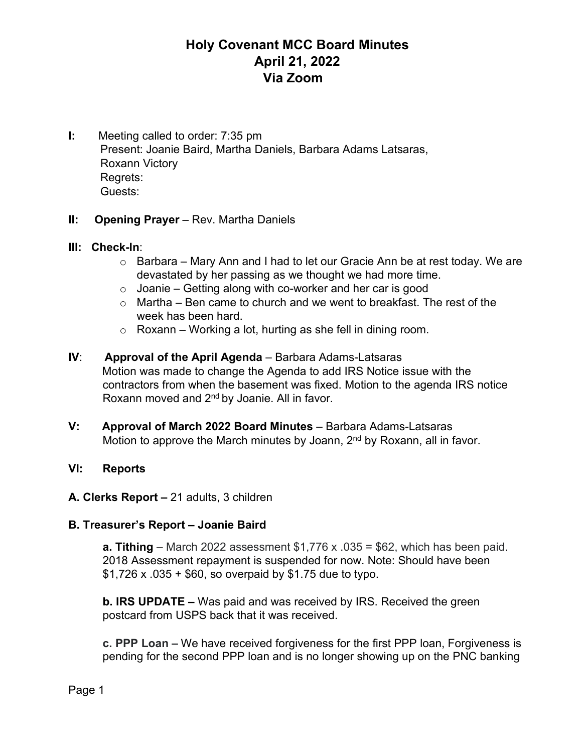**I:** Meeting called to order: 7:35 pm Present: Joanie Baird, Martha Daniels, Barbara Adams Latsaras, Roxann Victory Regrets: Guests:

## **II: Opening Prayer** – Rev. Martha Daniels

## **III: Check-In**:

- o Barbara Mary Ann and I had to let our Gracie Ann be at rest today. We are devastated by her passing as we thought we had more time.
- $\circ$  Joanie Getting along with co-worker and her car is good
- $\circ$  Martha Ben came to church and we went to breakfast. The rest of the week has been hard.
- $\circ$  Roxann Working a lot, hurting as she fell in dining room.
- **IV**: **Approval of the April Agenda** Barbara Adams-Latsaras Motion was made to change the Agenda to add IRS Notice issue with the contractors from when the basement was fixed. Motion to the agenda IRS notice Roxann moved and 2<sup>nd</sup> by Joanie. All in favor.
- **V: Approval of March 2022 Board Minutes** Barbara Adams-Latsaras Motion to approve the March minutes by Joann,  $2<sup>nd</sup>$  by Roxann, all in favor.

## **VI: Reports**

## **A. Clerks Report –** 21 adults, 3 children

## **B. Treasurer's Report – Joanie Baird**

**a. Tithing** – March 2022 assessment \$1,776 x .035 = \$62, which has been paid. 2018 Assessment repayment is suspended for now. Note: Should have been  $$1,726 \times .035 + $60$ , so overpaid by \$1.75 due to typo.

**b. IRS UPDATE –** Was paid and was received by IRS. Received the green postcard from USPS back that it was received.

**c. PPP Loan –** We have received forgiveness for the first PPP loan, Forgiveness is pending for the second PPP loan and is no longer showing up on the PNC banking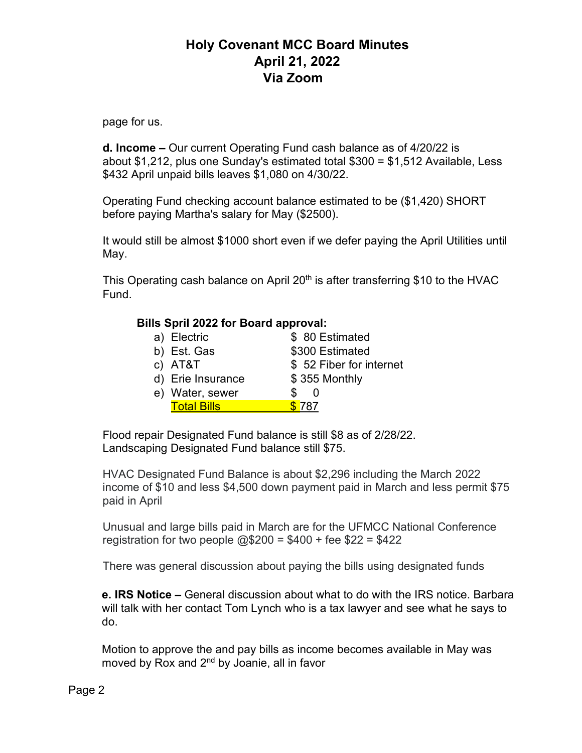page for us.

**d. Income –** Our current Operating Fund cash balance as of 4/20/22 is about \$1,212, plus one Sunday's estimated total \$300 = \$1,512 Available, Less \$432 April unpaid bills leaves \$1,080 on 4/30/22.

Operating Fund checking account balance estimated to be (\$1,420) SHORT before paying Martha's salary for May (\$2500).

It would still be almost \$1000 short even if we defer paying the April Utilities until May.

This Operating cash balance on April 20<sup>th</sup> is after transferring \$10 to the HVAC Fund.

## **Bills Spril 2022 for Board approval:**

| a) Electric        | \$80 Estimated          |
|--------------------|-------------------------|
| b) Est. Gas        | \$300 Estimated         |
| c) AT&T            | \$52 Fiber for internet |
| d) Erie Insurance  | \$355 Monthly           |
| e) Water, sewer    | S                       |
| <b>Total Bills</b> | 787.                    |

Flood repair Designated Fund balance is still \$8 as of 2/28/22. Landscaping Designated Fund balance still \$75.

HVAC Designated Fund Balance is about \$2,296 including the March 2022 income of \$10 and less \$4,500 down payment paid in March and less permit \$75 paid in April

Unusual and large bills paid in March are for the UFMCC National Conference registration for two people  $@$200 = $400 +$ fee \$22 = \$422

There was general discussion about paying the bills using designated funds

**e. IRS Notice –** General discussion about what to do with the IRS notice. Barbara will talk with her contact Tom Lynch who is a tax lawyer and see what he says to do.

Motion to approve the and pay bills as income becomes available in May was moved by Rox and 2<sup>nd</sup> by Joanie, all in favor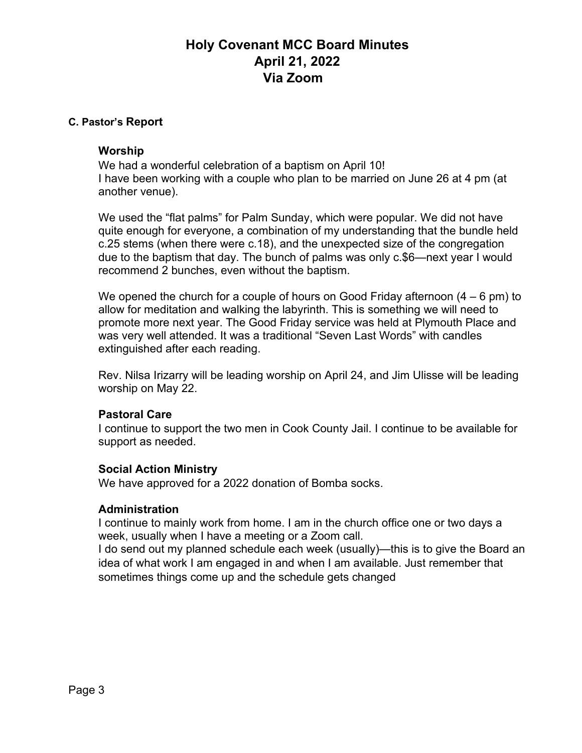#### **C. Pastor's Report**

#### **Worship**

We had a wonderful celebration of a baptism on April 10! I have been working with a couple who plan to be married on June 26 at 4 pm (at another venue).

We used the "flat palms" for Palm Sunday, which were popular. We did not have quite enough for everyone, a combination of my understanding that the bundle held c.25 stems (when there were c.18), and the unexpected size of the congregation due to the baptism that day. The bunch of palms was only c.\$6—next year I would recommend 2 bunches, even without the baptism.

We opened the church for a couple of hours on Good Friday afternoon  $(4 - 6 \text{ pm})$  to allow for meditation and walking the labyrinth. This is something we will need to promote more next year. The Good Friday service was held at Plymouth Place and was very well attended. It was a traditional "Seven Last Words" with candles extinguished after each reading.

Rev. Nilsa Irizarry will be leading worship on April 24, and Jim Ulisse will be leading worship on May 22.

## **Pastoral Care**

I continue to support the two men in Cook County Jail. I continue to be available for support as needed.

#### **Social Action Ministry**

We have approved for a 2022 donation of Bomba socks.

#### **Administration**

I continue to mainly work from home. I am in the church office one or two days a week, usually when I have a meeting or a Zoom call.

I do send out my planned schedule each week (usually)—this is to give the Board an idea of what work I am engaged in and when I am available. Just remember that sometimes things come up and the schedule gets changed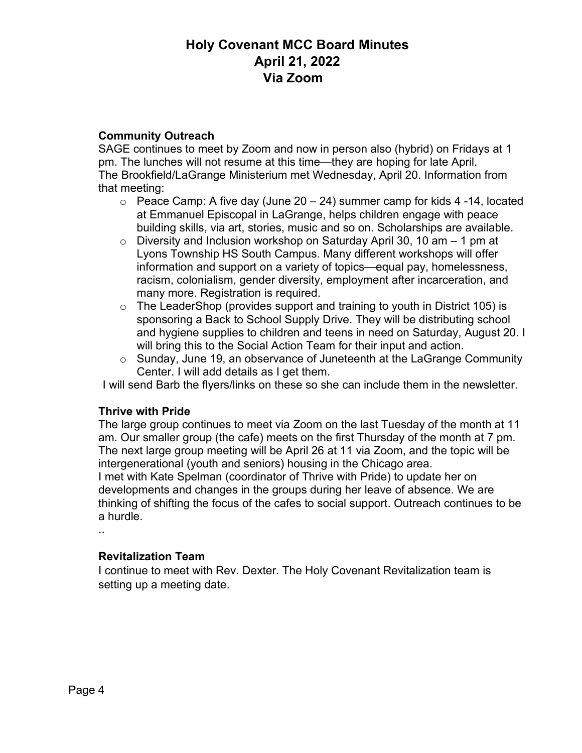## **Community Outreach**

SAGE continues to meet by Zoom and now in person also (hybrid) on Fridays at 1 pm. The lunches will not resume at this time—they are hoping for late April. The Brookfield/LaGrange Ministerium met Wednesday, April 20. Information from that meeting:

- $\circ$  Peace Camp: A five day (June 20 24) summer camp for kids 4 -14, located at Emmanuel Episcopal in LaGrange, helps children engage with peace building skills, via art, stories, music and so on. Scholarships are available.
- $\circ$  Diversity and Inclusion workshop on Saturday April 30, 10 am  $-$  1 pm at Lyons Township HS South Campus. Many different workshops will offer information and support on a variety of topics—equal pay, homelessness, racism, colonialism, gender diversity, employment after incarceration, and many more. Registration is required.
- o The LeaderShop (provides support and training to youth in District 105) is sponsoring a Back to School Supply Drive. They will be distributing school and hygiene supplies to children and teens in need on Saturday, August 20. I will bring this to the Social Action Team for their input and action.
- o Sunday, June 19, an observance of Juneteenth at the LaGrange Community Center. I will add details as I get them.

I will send Barb the flyers/links on these so she can include them in the newsletter.

## **Thrive with Pride**

The large group continues to meet via Zoom on the last Tuesday of the month at 11 am. Our smaller group (the cafe) meets on the first Thursday of the month at 7 pm. The next large group meeting will be April 26 at 11 via Zoom, and the topic will be intergenerational (youth and seniors) housing in the Chicago area.

I met with Kate Spelman (coordinator of Thrive with Pride) to update her on developments and changes in the groups during her leave of absence. We are thinking of shifting the focus of the cafes to social support. Outreach continues to be a hurdle.

..

## **Revitalization Team**

I continue to meet with Rev. Dexter. The Holy Covenant Revitalization team is setting up a meeting date.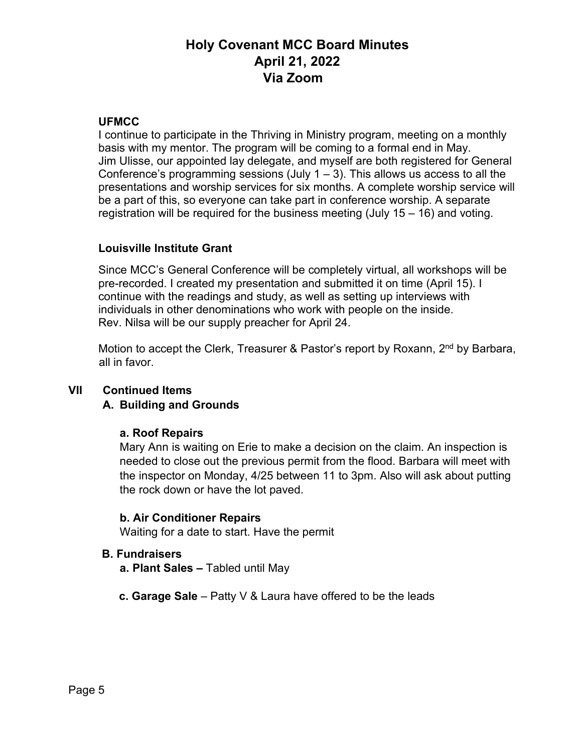## **UFMCC**

I continue to participate in the Thriving in Ministry program, meeting on a monthly basis with my mentor. The program will be coming to a formal end in May. Jim Ulisse, our appointed lay delegate, and myself are both registered for General Conference's programming sessions (July  $1 - 3$ ). This allows us access to all the presentations and worship services for six months. A complete worship service will be a part of this, so everyone can take part in conference worship. A separate registration will be required for the business meeting (July  $15 - 16$ ) and voting.

## **Louisville Institute Grant**

Since MCC's General Conference will be completely virtual, all workshops will be pre-recorded. I created my presentation and submitted it on time (April 15). I continue with the readings and study, as well as setting up interviews with individuals in other denominations who work with people on the inside. Rev. Nilsa will be our supply preacher for April 24.

Motion to accept the Clerk, Treasurer & Pastor's report by Roxann, 2<sup>nd</sup> by Barbara, all in favor.

## **VII Continued Items**

## **A. Building and Grounds**

## **a. Roof Repairs**

Mary Ann is waiting on Erie to make a decision on the claim. An inspection is needed to close out the previous permit from the flood. Barbara will meet with the inspector on Monday, 4/25 between 11 to 3pm. Also will ask about putting the rock down or have the lot paved.

## **b. Air Conditioner Repairs**

Waiting for a date to start. Have the permit

## **B. Fundraisers**

- **a. Plant Sales –** Tabled until May
- **c. Garage Sale** Patty V & Laura have offered to be the leads